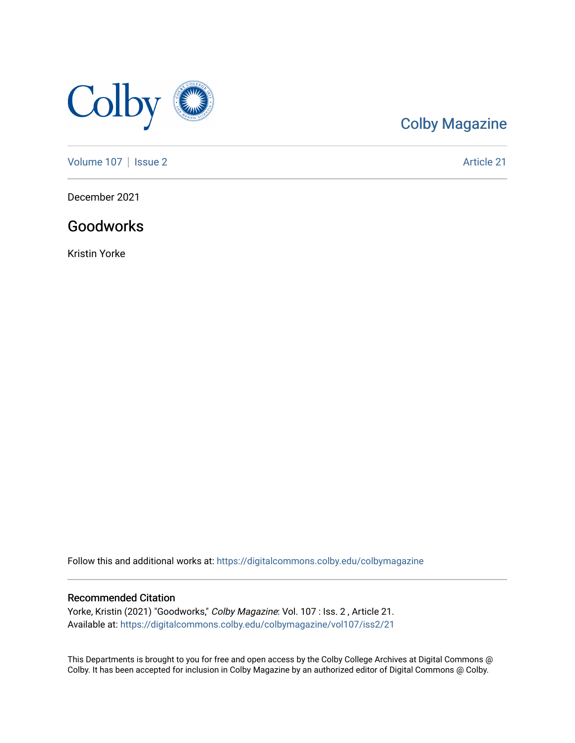

## [Colby Magazine](https://digitalcommons.colby.edu/colbymagazine)

[Volume 107](https://digitalcommons.colby.edu/colbymagazine/vol107) | [Issue 2](https://digitalcommons.colby.edu/colbymagazine/vol107/iss2) Article 21

December 2021

### Goodworks

Kristin Yorke

Follow this and additional works at: [https://digitalcommons.colby.edu/colbymagazine](https://digitalcommons.colby.edu/colbymagazine?utm_source=digitalcommons.colby.edu%2Fcolbymagazine%2Fvol107%2Fiss2%2F21&utm_medium=PDF&utm_campaign=PDFCoverPages)

### Recommended Citation

Yorke, Kristin (2021) "Goodworks," Colby Magazine: Vol. 107 : Iss. 2 , Article 21. Available at: [https://digitalcommons.colby.edu/colbymagazine/vol107/iss2/21](https://digitalcommons.colby.edu/colbymagazine/vol107/iss2/21?utm_source=digitalcommons.colby.edu%2Fcolbymagazine%2Fvol107%2Fiss2%2F21&utm_medium=PDF&utm_campaign=PDFCoverPages)

This Departments is brought to you for free and open access by the Colby College Archives at Digital Commons @ Colby. It has been accepted for inclusion in Colby Magazine by an authorized editor of Digital Commons @ Colby.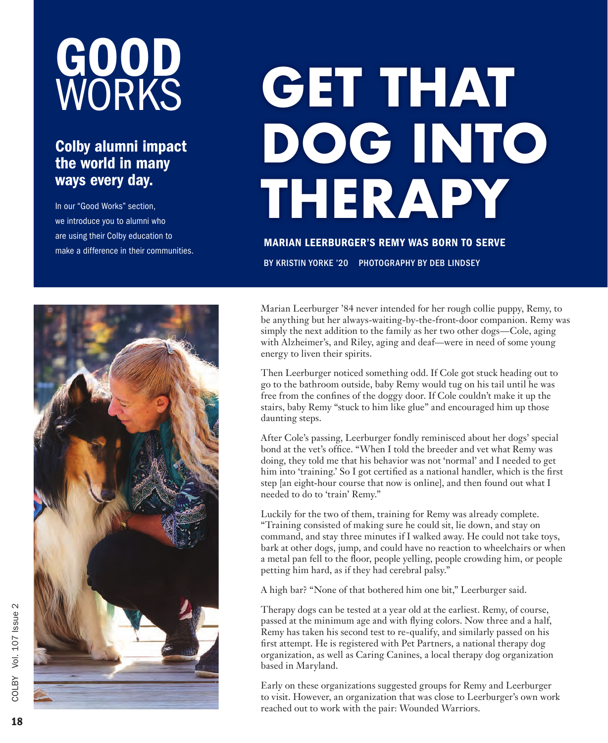# GOOD WORKS

### Colby alumni impact the world in many ways every day.

In our "Good Works" section, we introduce you to alumni who are using their Colby education to make a difference in their communities.

# **GET THAT DOG INTO THERAPY**

MARIAN LEERBURGER'S REMY WAS BORN TO SERVE

BY KRISTIN YORKE '20 PHOTOGRAPHY BY DEB LINDSEY



Marian Leerburger '84 never intended for her rough collie puppy, Remy, to be anything but her always-waiting-by-the-front-door companion. Remy was simply the next addition to the family as her two other dogs—Cole, aging with Alzheimer's, and Riley, aging and deaf—were in need of some young energy to liven their spirits.

Then Leerburger noticed something odd. If Cole got stuck heading out to go to the bathroom outside, baby Remy would tug on his tail until he was free from the confines of the doggy door. If Cole couldn't make it up the stairs, baby Remy "stuck to him like glue" and encouraged him up those daunting steps.

After Cole's passing, Leerburger fondly reminisced about her dogs' special bond at the vet's office. "When I told the breeder and vet what Remy was doing, they told me that his behavior was not 'normal' and I needed to get him into 'training.' So I got certified as a national handler, which is the first step [an eight-hour course that now is online], and then found out what I needed to do to 'train' Remy."

Luckily for the two of them, training for Remy was already complete. "Training consisted of making sure he could sit, lie down, and stay on command, and stay three minutes if I walked away. He could not take toys, bark at other dogs, jump, and could have no reaction to wheelchairs or when a metal pan fell to the floor, people yelling, people crowding him, or people petting him hard, as if they had cerebral palsy."

A high bar? "None of that bothered him one bit," Leerburger said.

Therapy dogs can be tested at a year old at the earliest. Remy, of course, passed at the minimum age and with flying colors. Now three and a half, Remy has taken his second test to re-qualify, and similarly passed on his first attempt. He is registered with Pet Partners, a national therapy dog organization, as well as Caring Canines, a local therapy dog organization based in Maryland.

Early on these organizations suggested groups for Remy and Leerburger to visit. However, an organization that was close to Leerburger's own work reached out to work with the pair: Wounded Warriors.